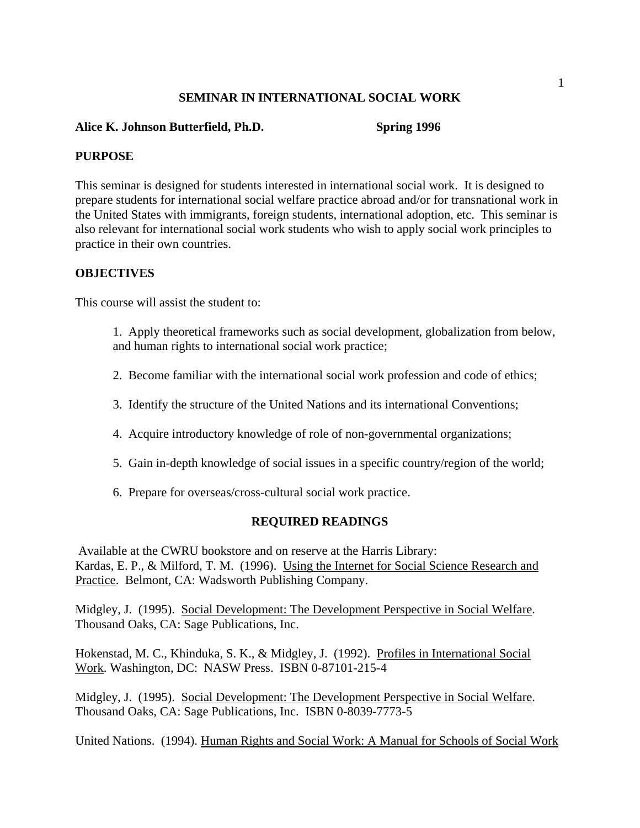## **SEMINAR IN INTERNATIONAL SOCIAL WORK**

#### **Alice K. Johnson Butterfield, Ph.D. Spring 1996**

#### **PURPOSE**

This seminar is designed for students interested in international social work. It is designed to prepare students for international social welfare practice abroad and/or for transnational work in the United States with immigrants, foreign students, international adoption, etc. This seminar is also relevant for international social work students who wish to apply social work principles to practice in their own countries.

#### **OBJECTIVES**

This course will assist the student to:

1. Apply theoretical frameworks such as social development, globalization from below, and human rights to international social work practice;

- 2. Become familiar with the international social work profession and code of ethics;
- 3. Identify the structure of the United Nations and its international Conventions;
- 4. Acquire introductory knowledge of role of non-governmental organizations;
- 5. Gain in-depth knowledge of social issues in a specific country/region of the world;
- 6. Prepare for overseas/cross-cultural social work practice.

## **REQUIRED READINGS**

 Available at the CWRU bookstore and on reserve at the Harris Library: Kardas, E. P., & Milford, T. M. (1996). Using the Internet for Social Science Research and Practice. Belmont, CA: Wadsworth Publishing Company.

Midgley, J. (1995). Social Development: The Development Perspective in Social Welfare. Thousand Oaks, CA: Sage Publications, Inc.

Hokenstad, M. C., Khinduka, S. K., & Midgley, J. (1992). Profiles in International Social Work. Washington, DC: NASW Press. ISBN 0-87101-215-4

Midgley, J. (1995). Social Development: The Development Perspective in Social Welfare. Thousand Oaks, CA: Sage Publications, Inc. ISBN 0-8039-7773-5

United Nations. (1994). Human Rights and Social Work: A Manual for Schools of Social Work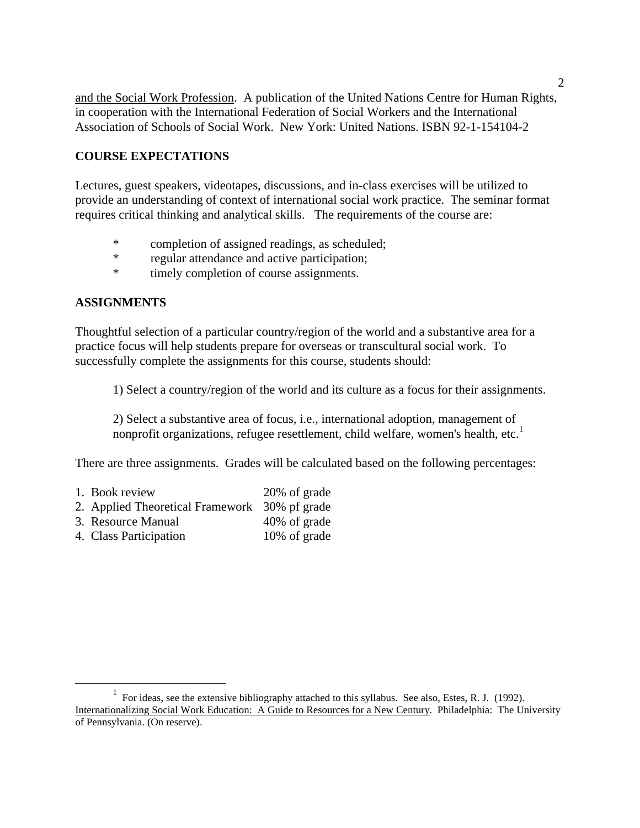and the Social Work Profession. A publication of the United Nations Centre for Human Rights, in cooperation with the International Federation of Social Workers and the International Association of Schools of Social Work. New York: United Nations. ISBN 92-1-154104-2

## **COURSE EXPECTATIONS**

Lectures, guest speakers, videotapes, discussions, and in-class exercises will be utilized to provide an understanding of context of international social work practice. The seminar format requires critical thinking and analytical skills. The requirements of the course are:

- \* completion of assigned readings, as scheduled;
- \* regular attendance and active participation;
- \* timely completion of course assignments.

## **ASSIGNMENTS**

Thoughtful selection of a particular country/region of the world and a substantive area for a practice focus will help students prepare for overseas or transcultural social work. To successfully complete the assignments for this course, students should:

1) Select a country/region of the world and its culture as a focus for their assignments.

2) Select a substantive area of focus, i.e., international adoption, management of nonprofit organizations, refugee resettlement, child welfare, women's health, etc.<sup>[1](#page-1-0)</sup>

There are three assignments. Grades will be calculated based on the following percentages:

- 1. Book review 20% of grade
- 2. Applied Theoretical Framework 30% pf grade
- 3. Resource Manual 40% of grade
- 4. Class Participation 10% of grade

<span id="page-1-0"></span> $\frac{1}{1}$  $\frac{1}{1}$  For ideas, see the extensive bibliography attached to this syllabus. See also, Estes, R. J. (1992). Internationalizing Social Work Education: A Guide to Resources for a New Century. Philadelphia: The University of Pennsylvania. (On reserve).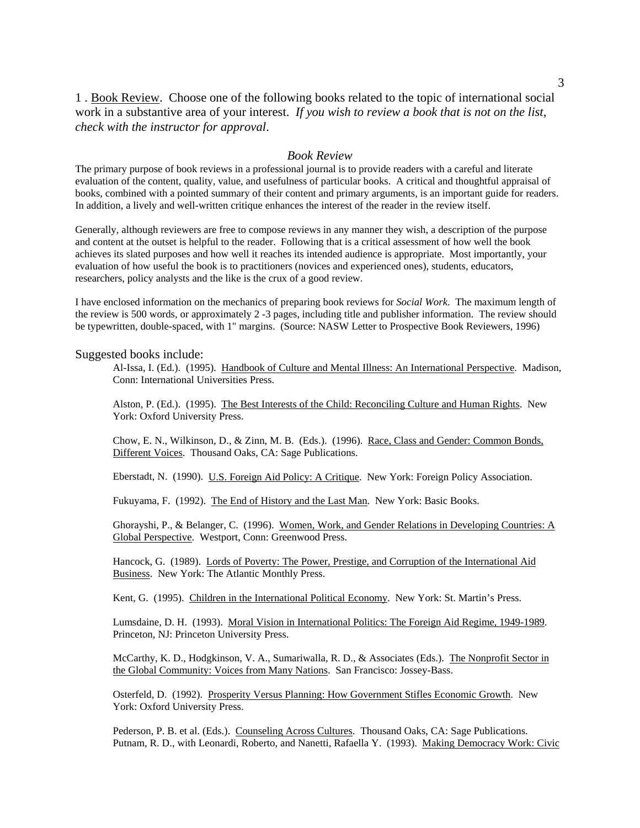1 . Book Review. Choose one of the following books related to the topic of international social work in a substantive area of your interest. *If you wish to review a book that is not on the list, check with the instructor for approval*.

#### *Book Review*

The primary purpose of book reviews in a professional journal is to provide readers with a careful and literate evaluation of the content, quality, value, and usefulness of particular books. A critical and thoughtful appraisal of books, combined with a pointed summary of their content and primary arguments, is an important guide for readers. In addition, a lively and well-written critique enhances the interest of the reader in the review itself.

Generally, although reviewers are free to compose reviews in any manner they wish, a description of the purpose and content at the outset is helpful to the reader. Following that is a critical assessment of how well the book achieves its slated purposes and how well it reaches its intended audience is appropriate. Most importantly, your evaluation of how useful the book is to practitioners (novices and experienced ones), students, educators, researchers, policy analysts and the like is the crux of a good review.

I have enclosed information on the mechanics of preparing book reviews for *Social Work*. The maximum length of the review is 500 words, or approximately 2 -3 pages, including title and publisher information. The review should be typewritten, double-spaced, with 1" margins. (Source: NASW Letter to Prospective Book Reviewers, 1996)

#### Suggested books include:

Al-Issa, I. (Ed.). (1995). Handbook of Culture and Mental Illness: An International Perspective. Madison, Conn: International Universities Press.

Alston, P. (Ed.). (1995). The Best Interests of the Child: Reconciling Culture and Human Rights. New York: Oxford University Press.

Chow, E. N., Wilkinson, D., & Zinn, M. B. (Eds.). (1996). Race, Class and Gender: Common Bonds, Different Voices. Thousand Oaks, CA: Sage Publications.

Eberstadt, N. (1990). U.S. Foreign Aid Policy: A Critique. New York: Foreign Policy Association.

Fukuyama, F. (1992). The End of History and the Last Man. New York: Basic Books.

Ghorayshi, P., & Belanger, C. (1996). Women, Work, and Gender Relations in Developing Countries: A Global Perspective. Westport, Conn: Greenwood Press.

Hancock, G. (1989). Lords of Poverty: The Power, Prestige, and Corruption of the International Aid Business. New York: The Atlantic Monthly Press.

Kent, G. (1995). Children in the International Political Economy. New York: St. Martin's Press.

Lumsdaine, D. H. (1993). Moral Vision in International Politics: The Foreign Aid Regime, 1949-1989. Princeton, NJ: Princeton University Press.

McCarthy, K. D., Hodgkinson, V. A., Sumariwalla, R. D., & Associates (Eds.). The Nonprofit Sector in the Global Community: Voices from Many Nations. San Francisco: Jossey-Bass.

Osterfeld, D. (1992). Prosperity Versus Planning: How Government Stifles Economic Growth. New York: Oxford University Press.

Pederson, P. B. et al. (Eds.). Counseling Across Cultures. Thousand Oaks, CA: Sage Publications. Putnam, R. D., with Leonardi, Roberto, and Nanetti, Rafaella Y. (1993). Making Democracy Work: Civic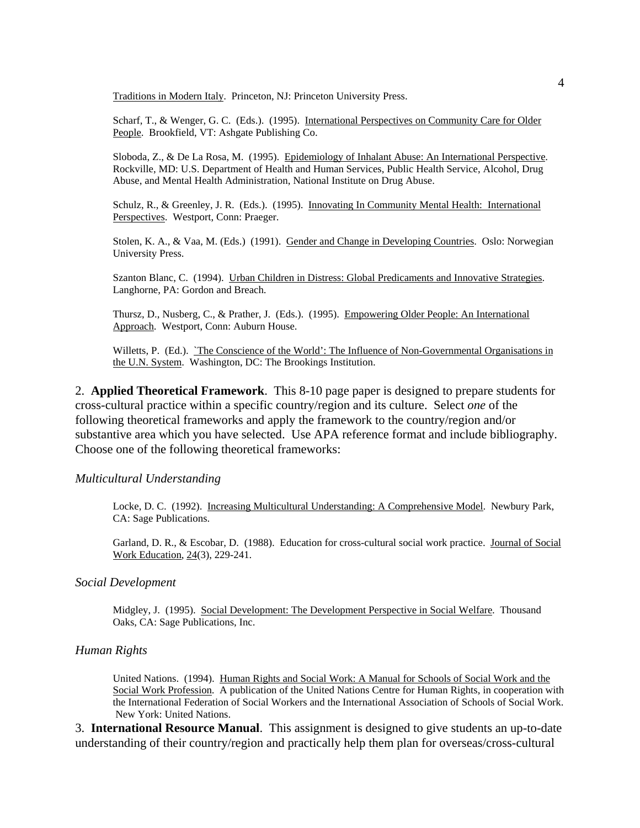Traditions in Modern Italy. Princeton, NJ: Princeton University Press.

Scharf, T., & Wenger, G. C. (Eds.). (1995). International Perspectives on Community Care for Older People. Brookfield, VT: Ashgate Publishing Co.

Sloboda, Z., & De La Rosa, M. (1995). Epidemiology of Inhalant Abuse: An International Perspective. Rockville, MD: U.S. Department of Health and Human Services, Public Health Service, Alcohol, Drug Abuse, and Mental Health Administration, National Institute on Drug Abuse.

Schulz, R., & Greenley, J. R. (Eds.). (1995). Innovating In Community Mental Health: International Perspectives. Westport, Conn: Praeger.

Stolen, K. A., & Vaa, M. (Eds.) (1991). Gender and Change in Developing Countries. Oslo: Norwegian University Press.

Szanton Blanc, C. (1994). Urban Children in Distress: Global Predicaments and Innovative Strategies. Langhorne, PA: Gordon and Breach.

Thursz, D., Nusberg, C., & Prather, J. (Eds.). (1995). Empowering Older People: An International Approach. Westport, Conn: Auburn House.

Willetts, P. (Ed.). `The Conscience of the World': The Influence of Non-Governmental Organisations in the U.N. System. Washington, DC: The Brookings Institution.

2. **Applied Theoretical Framework**. This 8-10 page paper is designed to prepare students for cross-cultural practice within a specific country/region and its culture. Select *one* of the following theoretical frameworks and apply the framework to the country/region and/or substantive area which you have selected. Use APA reference format and include bibliography. Choose one of the following theoretical frameworks:

#### *Multicultural Understanding*

Locke, D. C. (1992). Increasing Multicultural Understanding: A Comprehensive Model. Newbury Park, CA: Sage Publications.

Garland, D. R., & Escobar, D. (1988). Education for cross-cultural social work practice. Journal of Social Work Education, 24(3), 229-241.

#### *Social Development*

Midgley, J. (1995). Social Development: The Development Perspective in Social Welfare. Thousand Oaks, CA: Sage Publications, Inc.

#### *Human Rights*

United Nations. (1994). Human Rights and Social Work: A Manual for Schools of Social Work and the Social Work Profession. A publication of the United Nations Centre for Human Rights, in cooperation with the International Federation of Social Workers and the International Association of Schools of Social Work. New York: United Nations.

3. **International Resource Manual**. This assignment is designed to give students an up-to-date understanding of their country/region and practically help them plan for overseas/cross-cultural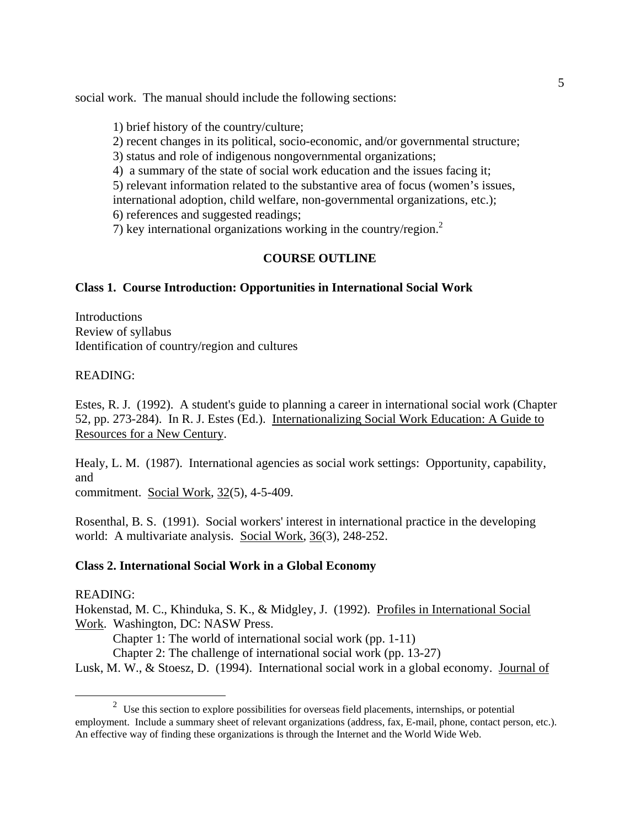social work. The manual should include the following sections:

- 1) brief history of the country/culture;
- 2) recent changes in its political, socio-economic, and/or governmental structure;
- 3) status and role of indigenous nongovernmental organizations;
- 4) a summary of the state of social work education and the issues facing it;

5) relevant information related to the substantive area of focus (women's issues, international adoption, child welfare, non-governmental organizations, etc.);

6) references and suggested readings;

7) key international organizations working in the country/region.[2](#page-4-0)

# **COURSE OUTLINE**

## **Class 1. Course Introduction: Opportunities in International Social Work**

**Introductions** Review of syllabus Identification of country/region and cultures

## READING:

Estes, R. J. (1992). A student's guide to planning a career in international social work (Chapter 52, pp. 273-284). In R. J. Estes (Ed.). Internationalizing Social Work Education: A Guide to Resources for a New Century.

Healy, L. M. (1987). International agencies as social work settings: Opportunity, capability, and

commitment. Social Work, 32(5), 4-5-409.

Rosenthal, B. S. (1991). Social workers' interest in international practice in the developing world: A multivariate analysis. Social Work, 36(3), 248-252.

## **Class 2. International Social Work in a Global Economy**

## READING:

Hokenstad, M. C., Khinduka, S. K., & Midgley, J. (1992). Profiles in International Social Work. Washington, DC: NASW Press.

Chapter 1: The world of international social work (pp. 1-11)

Chapter 2: The challenge of international social work (pp. 13-27)

Lusk, M. W., & Stoesz, D. (1994). International social work in a global economy. Journal of

<span id="page-4-0"></span> <sup>2</sup>  $2\sigma$  Use this section to explore possibilities for overseas field placements, internships, or potential employment. Include a summary sheet of relevant organizations (address, fax, E-mail, phone, contact person, etc.). An effective way of finding these organizations is through the Internet and the World Wide Web.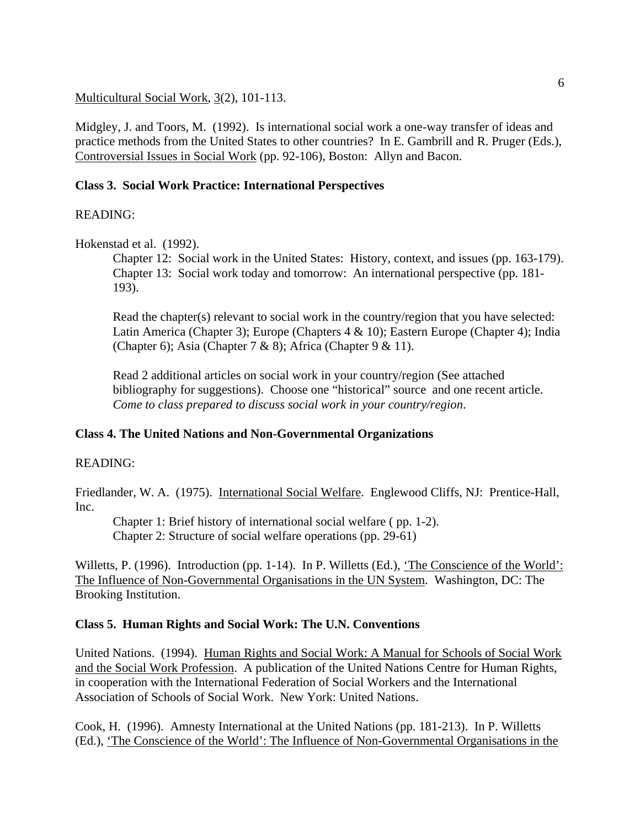Multicultural Social Work, 3(2), 101-113.

Midgley, J. and Toors, M. (1992). Is international social work a one-way transfer of ideas and practice methods from the United States to other countries? In E. Gambrill and R. Pruger (Eds.), Controversial Issues in Social Work (pp. 92-106), Boston: Allyn and Bacon.

## **Class 3. Social Work Practice: International Perspectives**

## READING:

Hokenstad et al. (1992).

Chapter 12: Social work in the United States: History, context, and issues (pp. 163-179). Chapter 13: Social work today and tomorrow: An international perspective (pp. 181- 193).

Read the chapter(s) relevant to social work in the country/region that you have selected: Latin America (Chapter 3); Europe (Chapters 4 & 10); Eastern Europe (Chapter 4); India (Chapter 6); Asia (Chapter 7 & 8); Africa (Chapter 9 & 11).

Read 2 additional articles on social work in your country/region (See attached bibliography for suggestions). Choose one "historical" source and one recent article. *Come to class prepared to discuss social work in your country/region*.

## **Class 4. The United Nations and Non-Governmental Organizations**

## READING:

Friedlander, W. A. (1975). International Social Welfare. Englewood Cliffs, NJ: Prentice-Hall, Inc.

Chapter 1: Brief history of international social welfare ( pp. 1-2). Chapter 2: Structure of social welfare operations (pp. 29-61)

Willetts, P. (1996). Introduction (pp. 1-14). In P. Willetts (Ed.), 'The Conscience of the World': The Influence of Non-Governmental Organisations in the UN System. Washington, DC: The Brooking Institution.

## **Class 5. Human Rights and Social Work: The U.N. Conventions**

United Nations. (1994). Human Rights and Social Work: A Manual for Schools of Social Work and the Social Work Profession. A publication of the United Nations Centre for Human Rights, in cooperation with the International Federation of Social Workers and the International Association of Schools of Social Work. New York: United Nations.

Cook, H. (1996). Amnesty International at the United Nations (pp. 181-213). In P. Willetts (Ed.), 'The Conscience of the World': The Influence of Non-Governmental Organisations in the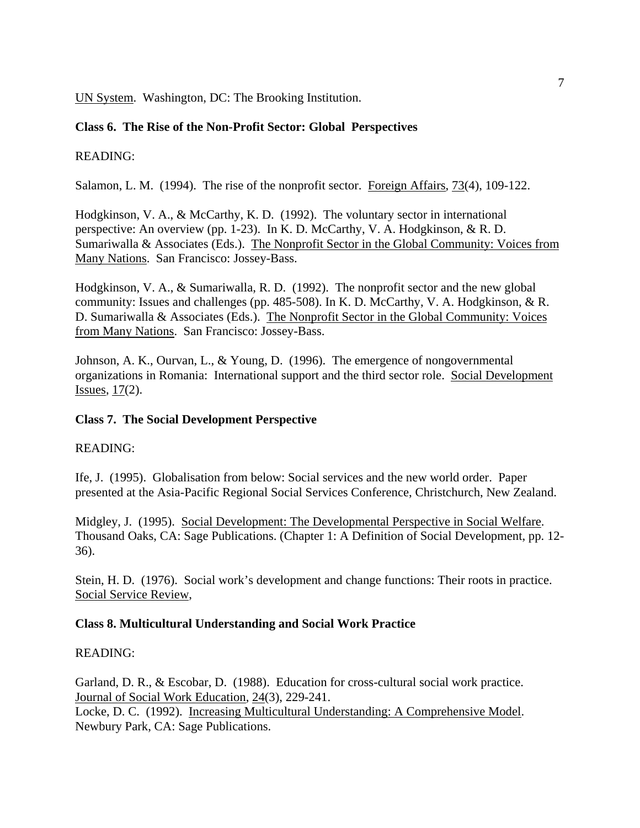UN System. Washington, DC: The Brooking Institution.

## **Class 6. The Rise of the Non-Profit Sector: Global Perspectives**

## READING:

Salamon, L. M. (1994). The rise of the nonprofit sector. Foreign Affairs, 73(4), 109-122.

Hodgkinson, V. A., & McCarthy, K. D. (1992). The voluntary sector in international perspective: An overview (pp. 1-23). In K. D. McCarthy, V. A. Hodgkinson, & R. D. Sumariwalla & Associates (Eds.). The Nonprofit Sector in the Global Community: Voices from Many Nations. San Francisco: Jossey-Bass.

Hodgkinson, V. A., & Sumariwalla, R. D. (1992). The nonprofit sector and the new global community: Issues and challenges (pp. 485-508). In K. D. McCarthy, V. A. Hodgkinson, & R. D. Sumariwalla & Associates (Eds.). The Nonprofit Sector in the Global Community: Voices from Many Nations. San Francisco: Jossey-Bass.

Johnson, A. K., Ourvan, L., & Young, D. (1996). The emergence of nongovernmental organizations in Romania: International support and the third sector role. Social Development Issues,  $17(2)$ .

## **Class 7. The Social Development Perspective**

## READING:

Ife, J. (1995). Globalisation from below: Social services and the new world order. Paper presented at the Asia-Pacific Regional Social Services Conference, Christchurch, New Zealand.

Midgley, J. (1995). Social Development: The Developmental Perspective in Social Welfare. Thousand Oaks, CA: Sage Publications. (Chapter 1: A Definition of Social Development, pp. 12- 36).

Stein, H. D. (1976). Social work's development and change functions: Their roots in practice. Social Service Review,

## **Class 8. Multicultural Understanding and Social Work Practice**

## READING:

Garland, D. R., & Escobar, D. (1988). Education for cross-cultural social work practice. Journal of Social Work Education, 24(3), 229-241. Locke, D. C. (1992). Increasing Multicultural Understanding: A Comprehensive Model. Newbury Park, CA: Sage Publications.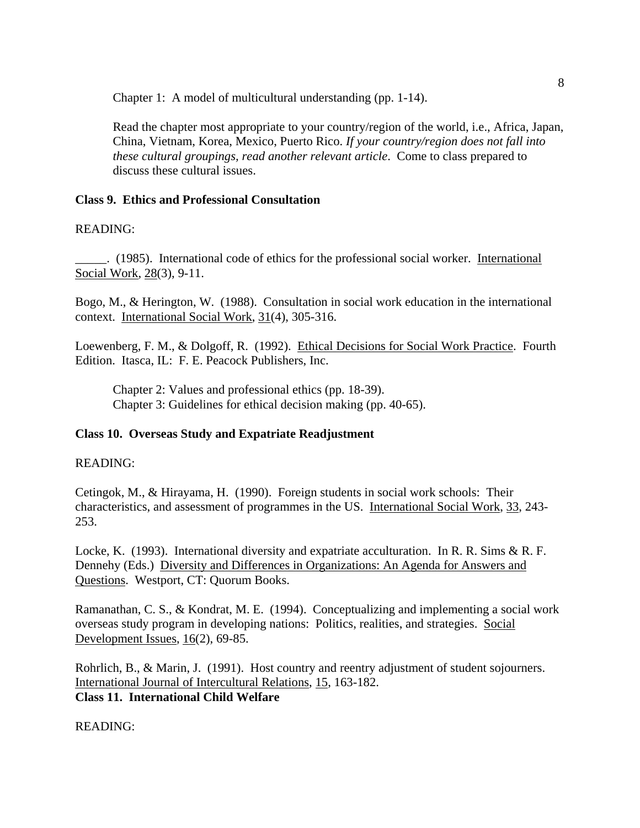Chapter 1: A model of multicultural understanding (pp. 1-14).

Read the chapter most appropriate to your country/region of the world, i.e., Africa, Japan, China, Vietnam, Korea, Mexico, Puerto Rico. *If your country/region does not fall into these cultural groupings, read another relevant article*. Come to class prepared to discuss these cultural issues.

#### **Class 9. Ethics and Professional Consultation**

#### READING:

\_\_\_\_\_. (1985). International code of ethics for the professional social worker. International Social Work, 28(3), 9-11.

Bogo, M., & Herington, W. (1988). Consultation in social work education in the international context. International Social Work, 31(4), 305-316.

Loewenberg, F. M., & Dolgoff, R. (1992). Ethical Decisions for Social Work Practice. Fourth Edition. Itasca, IL: F. E. Peacock Publishers, Inc.

Chapter 2: Values and professional ethics (pp. 18-39). Chapter 3: Guidelines for ethical decision making (pp. 40-65).

## **Class 10. Overseas Study and Expatriate Readjustment**

#### READING:

Cetingok, M., & Hirayama, H. (1990). Foreign students in social work schools: Their characteristics, and assessment of programmes in the US. International Social Work, 33, 243- 253.

Locke, K. (1993). International diversity and expatriate acculturation. In R. R. Sims & R. F. Dennehy (Eds.) Diversity and Differences in Organizations: An Agenda for Answers and Questions. Westport, CT: Quorum Books.

Ramanathan, C. S., & Kondrat, M. E. (1994). Conceptualizing and implementing a social work overseas study program in developing nations: Politics, realities, and strategies. Social Development Issues, 16(2), 69-85.

Rohrlich, B., & Marin, J. (1991). Host country and reentry adjustment of student sojourners. International Journal of Intercultural Relations, 15, 163-182. **Class 11. International Child Welfare**

READING: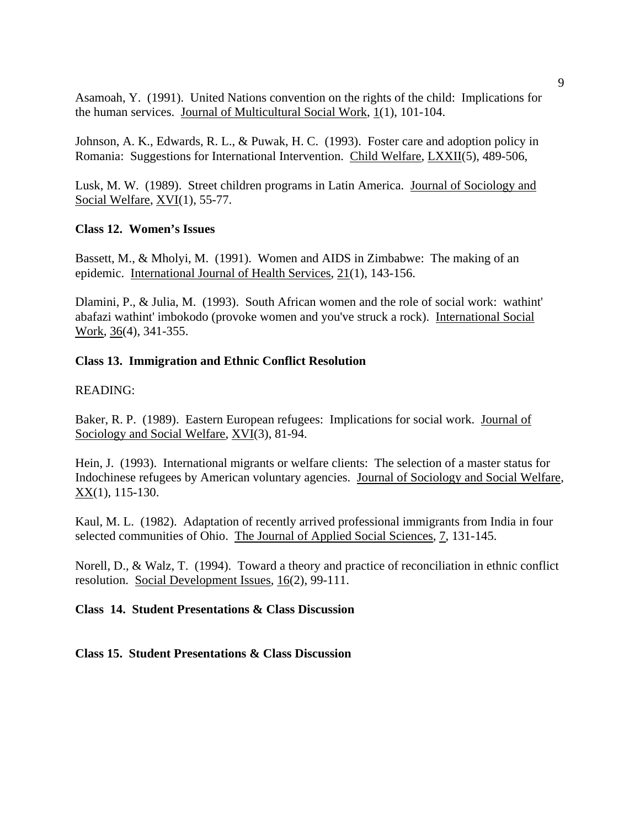Asamoah, Y. (1991). United Nations convention on the rights of the child: Implications for the human services. Journal of Multicultural Social Work, 1(1), 101-104.

Johnson, A. K., Edwards, R. L., & Puwak, H. C. (1993). Foster care and adoption policy in Romania: Suggestions for International Intervention. Child Welfare, LXXII(5), 489-506,

Lusk, M. W. (1989). Street children programs in Latin America. Journal of Sociology and Social Welfare, XVI(1), 55-77.

## **Class 12. Women's Issues**

Bassett, M., & Mholyi, M. (1991). Women and AIDS in Zimbabwe: The making of an epidemic. International Journal of Health Services, 21(1), 143-156.

Dlamini, P., & Julia, M. (1993). South African women and the role of social work: wathint' abafazi wathint' imbokodo (provoke women and you've struck a rock). International Social Work, 36(4), 341-355.

#### **Class 13. Immigration and Ethnic Conflict Resolution**

#### READING:

Baker, R. P. (1989). Eastern European refugees: Implications for social work. Journal of Sociology and Social Welfare, XVI(3), 81-94.

Hein, J. (1993). International migrants or welfare clients: The selection of a master status for Indochinese refugees by American voluntary agencies. Journal of Sociology and Social Welfare, XX(1), 115-130.

Kaul, M. L. (1982). Adaptation of recently arrived professional immigrants from India in four selected communities of Ohio. The Journal of Applied Social Sciences, 7, 131-145.

Norell, D., & Walz, T. (1994). Toward a theory and practice of reconciliation in ethnic conflict resolution. Social Development Issues, 16(2), 99-111.

## **Class 14. Student Presentations & Class Discussion**

**Class 15. Student Presentations & Class Discussion**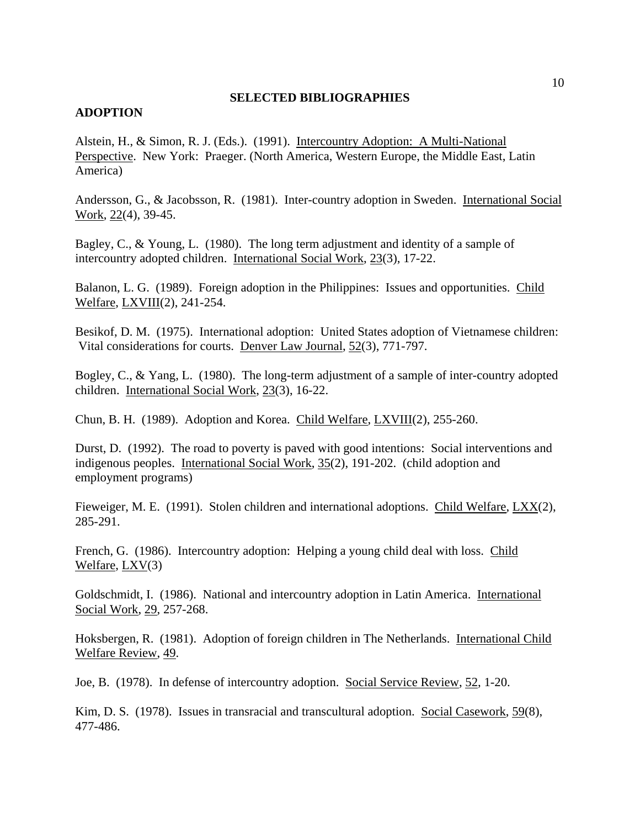#### **SELECTED BIBLIOGRAPHIES**

#### **ADOPTION**

Alstein, H., & Simon, R. J. (Eds.). (1991). Intercountry Adoption: A Multi-National Perspective. New York: Praeger. (North America, Western Europe, the Middle East, Latin America)

Andersson, G., & Jacobsson, R. (1981). Inter-country adoption in Sweden. International Social Work, 22(4), 39-45.

Bagley, C., & Young, L. (1980). The long term adjustment and identity of a sample of intercountry adopted children. International Social Work, 23(3), 17-22.

Balanon, L. G. (1989). Foreign adoption in the Philippines: Issues and opportunities. Child Welfare, LXVIII(2), 241-254.

Besikof, D. M. (1975). International adoption: United States adoption of Vietnamese children: Vital considerations for courts. Denver Law Journal, 52(3), 771-797.

Bogley, C., & Yang, L. (1980). The long-term adjustment of a sample of inter-country adopted children. International Social Work, 23(3), 16-22.

Chun, B. H. (1989). Adoption and Korea. Child Welfare, LXVIII(2), 255-260.

Durst, D. (1992). The road to poverty is paved with good intentions: Social interventions and indigenous peoples. International Social Work, 35(2), 191-202. (child adoption and employment programs)

Fieweiger, M. E. (1991). Stolen children and international adoptions. Child Welfare, LXX(2), 285-291.

French, G. (1986). Intercountry adoption: Helping a young child deal with loss. Child Welfare, LXV(3)

Goldschmidt, I. (1986). National and intercountry adoption in Latin America. International Social Work, 29, 257-268.

Hoksbergen, R. (1981). Adoption of foreign children in The Netherlands. International Child Welfare Review, 49.

Joe, B. (1978). In defense of intercountry adoption. Social Service Review, 52, 1-20.

Kim, D. S. (1978). Issues in transracial and transcultural adoption. Social Casework, 59(8), 477-486.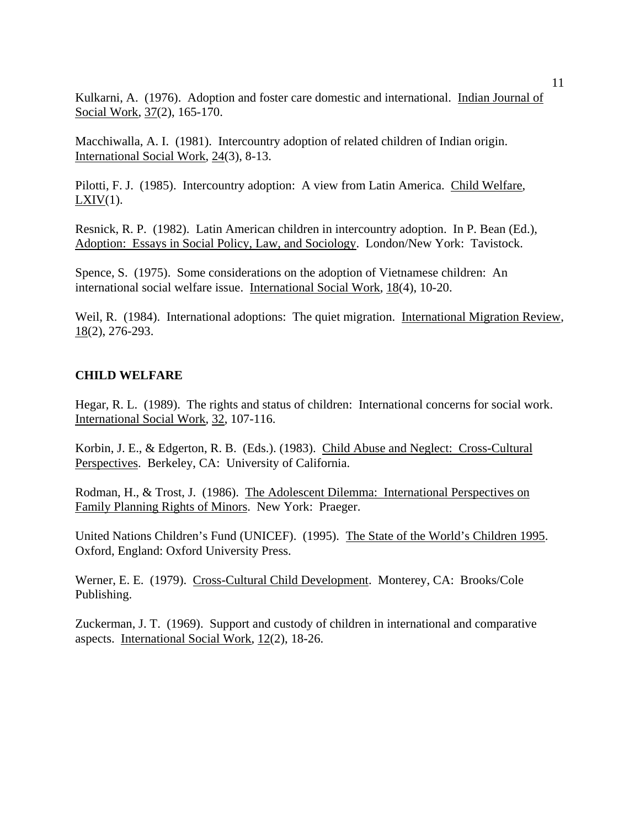Kulkarni, A. (1976). Adoption and foster care domestic and international. Indian Journal of Social Work, 37(2), 165-170.

Macchiwalla, A. I. (1981). Intercountry adoption of related children of Indian origin. International Social Work, 24(3), 8-13.

Pilotti, F. J. (1985). Intercountry adoption: A view from Latin America. Child Welfare,  $LXIV(1)$ .

Resnick, R. P. (1982). Latin American children in intercountry adoption. In P. Bean (Ed.), Adoption: Essays in Social Policy, Law, and Sociology. London/New York: Tavistock.

Spence, S. (1975). Some considerations on the adoption of Vietnamese children: An international social welfare issue. International Social Work, 18(4), 10-20.

Weil, R. (1984). International adoptions: The quiet migration. International Migration Review,  $18(2)$ , 276-293.

#### **CHILD WELFARE**

Hegar, R. L. (1989). The rights and status of children: International concerns for social work. International Social Work, 32, 107-116.

Korbin, J. E., & Edgerton, R. B. (Eds.). (1983). Child Abuse and Neglect: Cross-Cultural Perspectives. Berkeley, CA: University of California.

Rodman, H., & Trost, J. (1986). The Adolescent Dilemma: International Perspectives on Family Planning Rights of Minors. New York: Praeger.

United Nations Children's Fund (UNICEF). (1995). The State of the World's Children 1995. Oxford, England: Oxford University Press.

Werner, E. E. (1979). Cross-Cultural Child Development. Monterey, CA: Brooks/Cole Publishing.

Zuckerman, J. T. (1969). Support and custody of children in international and comparative aspects. International Social Work, 12(2), 18-26.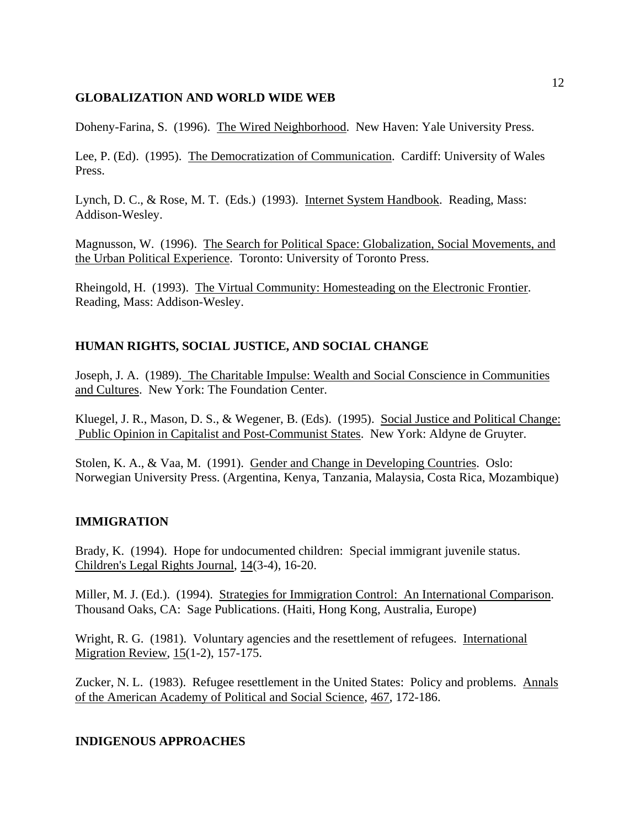## **GLOBALIZATION AND WORLD WIDE WEB**

Doheny-Farina, S. (1996). The Wired Neighborhood. New Haven: Yale University Press.

Lee, P. (Ed). (1995). The Democratization of Communication. Cardiff: University of Wales Press.

Lynch, D. C., & Rose, M. T. (Eds.) (1993). Internet System Handbook. Reading, Mass: Addison-Wesley.

Magnusson, W. (1996). The Search for Political Space: Globalization, Social Movements, and the Urban Political Experience. Toronto: University of Toronto Press.

Rheingold, H. (1993). The Virtual Community: Homesteading on the Electronic Frontier. Reading, Mass: Addison-Wesley.

## **HUMAN RIGHTS, SOCIAL JUSTICE, AND SOCIAL CHANGE**

Joseph, J. A. (1989). The Charitable Impulse: Wealth and Social Conscience in Communities and Cultures. New York: The Foundation Center.

Kluegel, J. R., Mason, D. S., & Wegener, B. (Eds). (1995). Social Justice and Political Change: Public Opinion in Capitalist and Post-Communist States. New York: Aldyne de Gruyter.

Stolen, K. A., & Vaa, M. (1991). Gender and Change in Developing Countries. Oslo: Norwegian University Press. (Argentina, Kenya, Tanzania, Malaysia, Costa Rica, Mozambique)

## **IMMIGRATION**

Brady, K. (1994). Hope for undocumented children: Special immigrant juvenile status. Children's Legal Rights Journal, 14(3-4), 16-20.

Miller, M. J. (Ed.). (1994). Strategies for Immigration Control: An International Comparison. Thousand Oaks, CA: Sage Publications. (Haiti, Hong Kong, Australia, Europe)

Wright, R. G. (1981). Voluntary agencies and the resettlement of refugees. International Migration Review, 15(1-2), 157-175.

Zucker, N. L. (1983). Refugee resettlement in the United States: Policy and problems. Annals of the American Academy of Political and Social Science, 467, 172-186.

## **INDIGENOUS APPROACHES**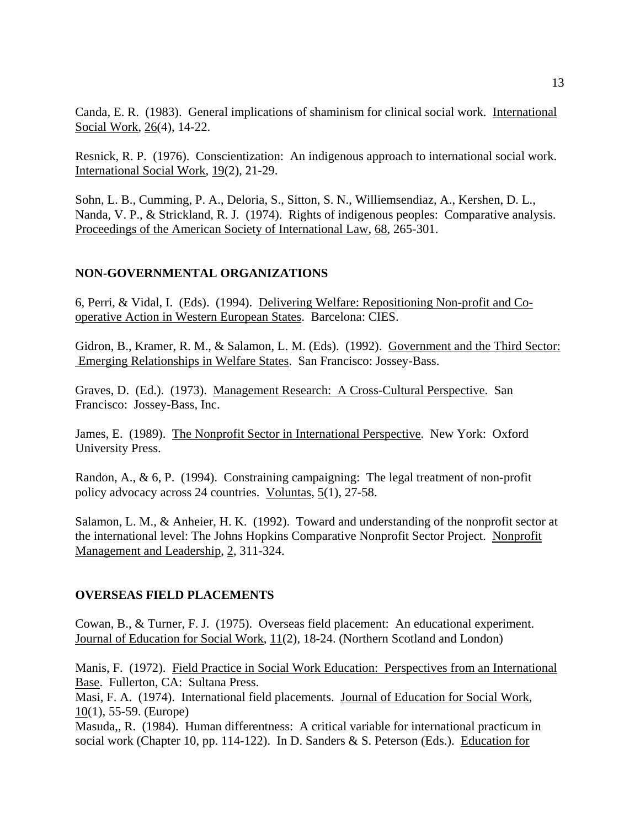Canda, E. R. (1983). General implications of shaminism for clinical social work. International Social Work, 26(4), 14-22.

Resnick, R. P. (1976). Conscientization: An indigenous approach to international social work. International Social Work, 19(2), 21-29.

Sohn, L. B., Cumming, P. A., Deloria, S., Sitton, S. N., Williemsendiaz, A., Kershen, D. L., Nanda, V. P., & Strickland, R. J. (1974). Rights of indigenous peoples: Comparative analysis. Proceedings of the American Society of International Law, 68, 265-301.

## **NON-GOVERNMENTAL ORGANIZATIONS**

6, Perri, & Vidal, I. (Eds). (1994). Delivering Welfare: Repositioning Non-profit and Cooperative Action in Western European States. Barcelona: CIES.

Gidron, B., Kramer, R. M., & Salamon, L. M. (Eds). (1992). Government and the Third Sector: Emerging Relationships in Welfare States. San Francisco: Jossey-Bass.

Graves, D. (Ed.). (1973). Management Research: A Cross-Cultural Perspective. San Francisco: Jossey-Bass, Inc.

James, E. (1989). The Nonprofit Sector in International Perspective. New York: Oxford University Press.

Randon, A., & 6, P. (1994). Constraining campaigning: The legal treatment of non-profit policy advocacy across 24 countries. Voluntas, 5(1), 27-58.

Salamon, L. M., & Anheier, H. K. (1992). Toward and understanding of the nonprofit sector at the international level: The Johns Hopkins Comparative Nonprofit Sector Project. Nonprofit Management and Leadership, 2, 311-324.

#### **OVERSEAS FIELD PLACEMENTS**

Cowan, B., & Turner, F. J. (1975). Overseas field placement: An educational experiment. Journal of Education for Social Work, 11(2), 18-24. (Northern Scotland and London)

Manis, F. (1972). Field Practice in Social Work Education: Perspectives from an International Base. Fullerton, CA: Sultana Press.

Masi, F. A. (1974). International field placements. Journal of Education for Social Work, 10(1), 55-59. (Europe)

Masuda,, R. (1984). Human differentness: A critical variable for international practicum in social work (Chapter 10, pp. 114-122). In D. Sanders & S. Peterson (Eds.). Education for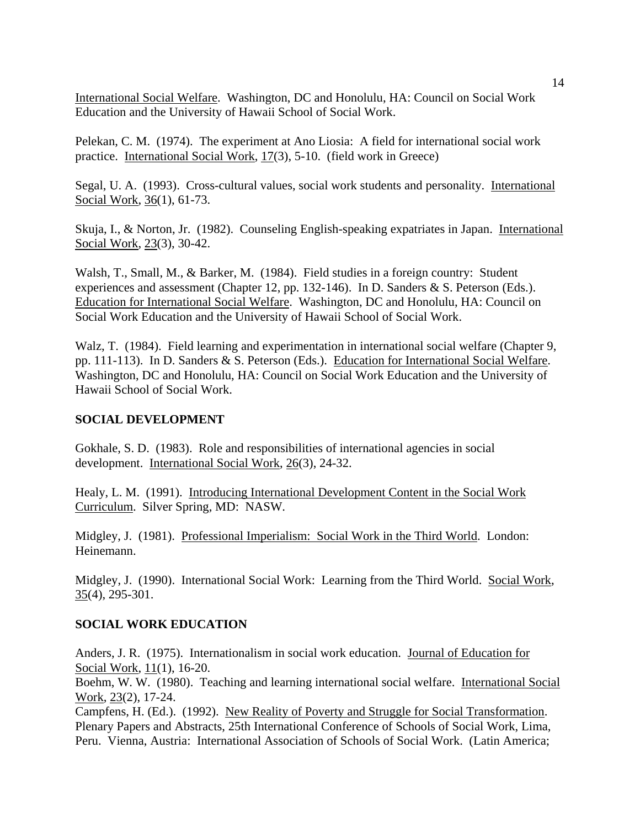International Social Welfare. Washington, DC and Honolulu, HA: Council on Social Work Education and the University of Hawaii School of Social Work.

Pelekan, C. M. (1974). The experiment at Ano Liosia: A field for international social work practice. International Social Work, 17(3), 5-10. (field work in Greece)

Segal, U. A. (1993). Cross-cultural values, social work students and personality. International Social Work, 36(1), 61-73.

Skuja, I., & Norton, Jr. (1982). Counseling English-speaking expatriates in Japan. International Social Work, 23(3), 30-42.

Walsh, T., Small, M., & Barker, M. (1984). Field studies in a foreign country: Student experiences and assessment (Chapter 12, pp. 132-146). In D. Sanders & S. Peterson (Eds.). Education for International Social Welfare. Washington, DC and Honolulu, HA: Council on Social Work Education and the University of Hawaii School of Social Work.

Walz, T. (1984). Field learning and experimentation in international social welfare (Chapter 9, pp. 111-113). In D. Sanders & S. Peterson (Eds.). Education for International Social Welfare. Washington, DC and Honolulu, HA: Council on Social Work Education and the University of Hawaii School of Social Work.

## **SOCIAL DEVELOPMENT**

Gokhale, S. D. (1983). Role and responsibilities of international agencies in social development. International Social Work, 26(3), 24-32.

Healy, L. M. (1991). Introducing International Development Content in the Social Work Curriculum. Silver Spring, MD: NASW.

Midgley, J. (1981). Professional Imperialism: Social Work in the Third World. London: Heinemann.

Midgley, J. (1990). International Social Work: Learning from the Third World. Social Work, 35(4), 295-301.

## **SOCIAL WORK EDUCATION**

Anders, J. R. (1975). Internationalism in social work education. Journal of Education for Social Work, 11(1), 16-20.

Boehm, W. W. (1980). Teaching and learning international social welfare. International Social Work, 23(2), 17-24.

Campfens, H. (Ed.). (1992). New Reality of Poverty and Struggle for Social Transformation. Plenary Papers and Abstracts, 25th International Conference of Schools of Social Work, Lima, Peru. Vienna, Austria: International Association of Schools of Social Work. (Latin America;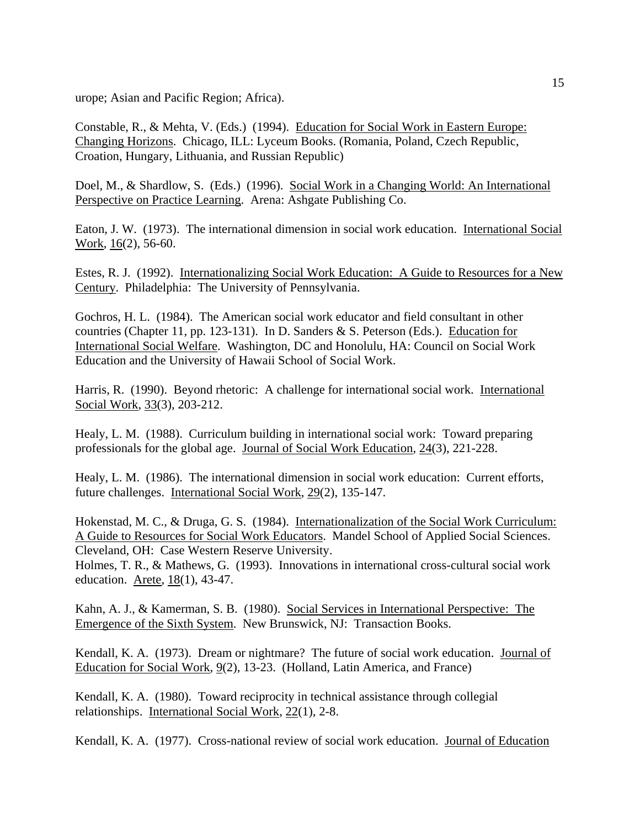urope; Asian and Pacific Region; Africa).

Constable, R., & Mehta, V. (Eds.) (1994). Education for Social Work in Eastern Europe: Changing Horizons. Chicago, ILL: Lyceum Books. (Romania, Poland, Czech Republic, Croation, Hungary, Lithuania, and Russian Republic)

Doel, M., & Shardlow, S. (Eds.) (1996). Social Work in a Changing World: An International Perspective on Practice Learning. Arena: Ashgate Publishing Co.

Eaton, J. W. (1973). The international dimension in social work education. International Social Work, 16(2), 56-60.

Estes, R. J. (1992). Internationalizing Social Work Education: A Guide to Resources for a New Century. Philadelphia: The University of Pennsylvania.

Gochros, H. L. (1984). The American social work educator and field consultant in other countries (Chapter 11, pp. 123-131). In D. Sanders & S. Peterson (Eds.). Education for International Social Welfare. Washington, DC and Honolulu, HA: Council on Social Work Education and the University of Hawaii School of Social Work.

Harris, R. (1990). Beyond rhetoric: A challenge for international social work. International Social Work, 33(3), 203-212.

Healy, L. M. (1988). Curriculum building in international social work: Toward preparing professionals for the global age. Journal of Social Work Education, 24(3), 221-228.

Healy, L. M. (1986). The international dimension in social work education: Current efforts, future challenges. International Social Work, 29(2), 135-147.

Hokenstad, M. C., & Druga, G. S. (1984). Internationalization of the Social Work Curriculum: A Guide to Resources for Social Work Educators. Mandel School of Applied Social Sciences. Cleveland, OH: Case Western Reserve University.

Holmes, T. R., & Mathews, G. (1993). Innovations in international cross-cultural social work education. Arete, 18(1), 43-47.

Kahn, A. J., & Kamerman, S. B. (1980). Social Services in International Perspective: The Emergence of the Sixth System. New Brunswick, NJ: Transaction Books.

Kendall, K. A. (1973). Dream or nightmare? The future of social work education. Journal of Education for Social Work, 9(2), 13-23. (Holland, Latin America, and France)

Kendall, K. A. (1980). Toward reciprocity in technical assistance through collegial relationships. International Social Work, 22(1), 2-8.

Kendall, K. A. (1977). Cross-national review of social work education. Journal of Education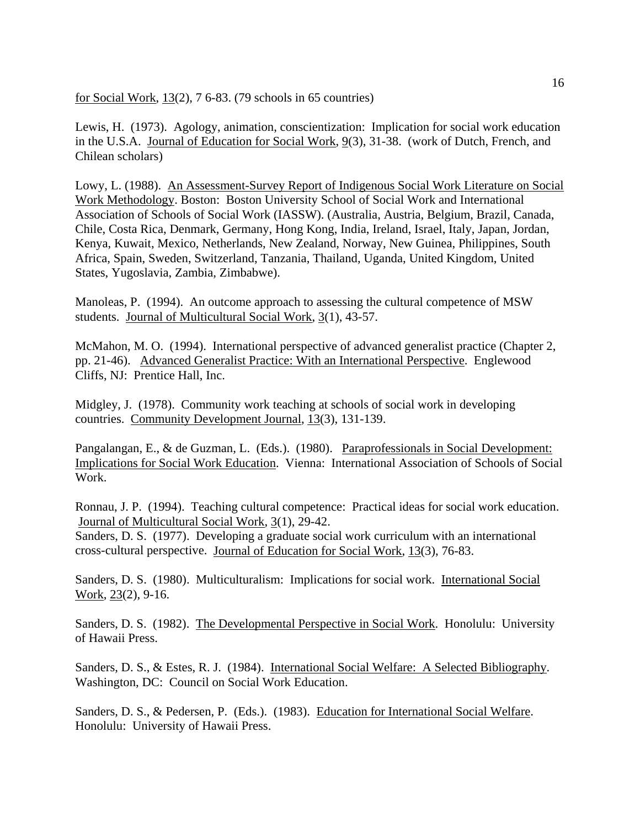for Social Work, 13(2), 7 6-83. (79 schools in 65 countries)

Lewis, H. (1973). Agology, animation, conscientization: Implication for social work education in the U.S.A. Journal of Education for Social Work, 9(3), 31-38. (work of Dutch, French, and Chilean scholars)

Lowy, L. (1988). An Assessment-Survey Report of Indigenous Social Work Literature on Social Work Methodology. Boston: Boston University School of Social Work and International Association of Schools of Social Work (IASSW). (Australia, Austria, Belgium, Brazil, Canada, Chile, Costa Rica, Denmark, Germany, Hong Kong, India, Ireland, Israel, Italy, Japan, Jordan, Kenya, Kuwait, Mexico, Netherlands, New Zealand, Norway, New Guinea, Philippines, South Africa, Spain, Sweden, Switzerland, Tanzania, Thailand, Uganda, United Kingdom, United States, Yugoslavia, Zambia, Zimbabwe).

Manoleas, P. (1994). An outcome approach to assessing the cultural competence of MSW students. Journal of Multicultural Social Work, 3(1), 43-57.

McMahon, M. O. (1994). International perspective of advanced generalist practice (Chapter 2, pp. 21-46). Advanced Generalist Practice: With an International Perspective. Englewood Cliffs, NJ: Prentice Hall, Inc.

Midgley, J. (1978). Community work teaching at schools of social work in developing countries. Community Development Journal, 13(3), 131-139.

Pangalangan, E., & de Guzman, L. (Eds.). (1980). Paraprofessionals in Social Development: Implications for Social Work Education. Vienna: International Association of Schools of Social Work.

Ronnau, J. P. (1994). Teaching cultural competence: Practical ideas for social work education. Journal of Multicultural Social Work, 3(1), 29-42.

Sanders, D. S. (1977). Developing a graduate social work curriculum with an international cross-cultural perspective. Journal of Education for Social Work, 13(3), 76-83.

Sanders, D. S. (1980). Multiculturalism: Implications for social work. International Social Work, 23(2), 9-16.

Sanders, D. S. (1982). The Developmental Perspective in Social Work. Honolulu: University of Hawaii Press.

Sanders, D. S., & Estes, R. J. (1984). International Social Welfare: A Selected Bibliography. Washington, DC: Council on Social Work Education.

Sanders, D. S., & Pedersen, P. (Eds.). (1983). Education for International Social Welfare. Honolulu: University of Hawaii Press.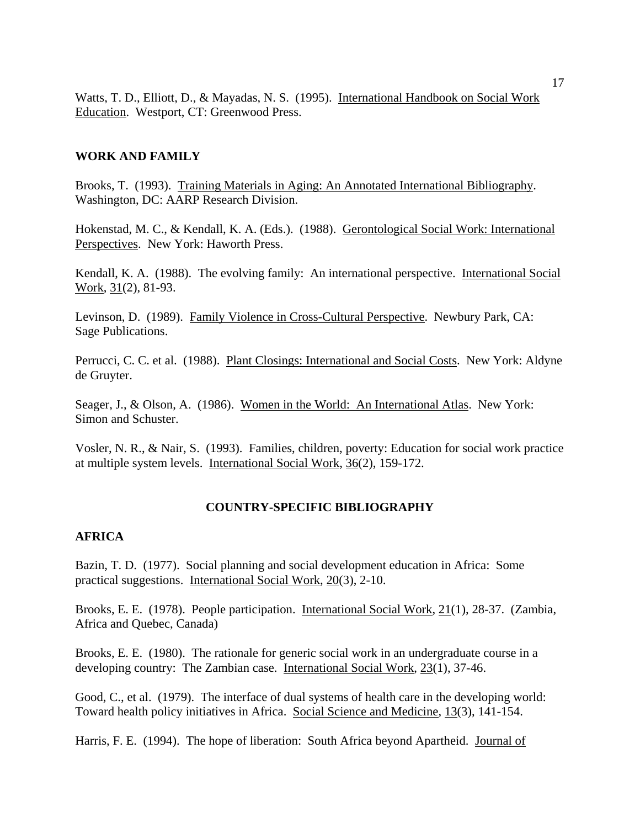Watts, T. D., Elliott, D., & Mayadas, N. S. (1995). International Handbook on Social Work Education. Westport, CT: Greenwood Press.

## **WORK AND FAMILY**

Brooks, T. (1993). Training Materials in Aging: An Annotated International Bibliography. Washington, DC: AARP Research Division.

Hokenstad, M. C., & Kendall, K. A. (Eds.). (1988). Gerontological Social Work: International Perspectives. New York: Haworth Press.

Kendall, K. A. (1988). The evolving family: An international perspective. International Social Work, 31(2), 81-93.

Levinson, D. (1989). Family Violence in Cross-Cultural Perspective. Newbury Park, CA: Sage Publications.

Perrucci, C. C. et al. (1988). Plant Closings: International and Social Costs. New York: Aldyne de Gruyter.

Seager, J., & Olson, A. (1986). Women in the World: An International Atlas. New York: Simon and Schuster.

Vosler, N. R., & Nair, S. (1993). Families, children, poverty: Education for social work practice at multiple system levels. International Social Work, 36(2), 159-172.

## **COUNTRY-SPECIFIC BIBLIOGRAPHY**

#### **AFRICA**

Bazin, T. D. (1977). Social planning and social development education in Africa: Some practical suggestions. International Social Work, 20(3), 2-10.

Brooks, E. E. (1978). People participation. International Social Work, 21(1), 28-37. (Zambia, Africa and Quebec, Canada)

Brooks, E. E. (1980). The rationale for generic social work in an undergraduate course in a developing country: The Zambian case. International Social Work, 23(1), 37-46.

Good, C., et al. (1979). The interface of dual systems of health care in the developing world: Toward health policy initiatives in Africa. Social Science and Medicine, 13(3), 141-154.

Harris, F. E. (1994). The hope of liberation: South Africa beyond Apartheid. Journal of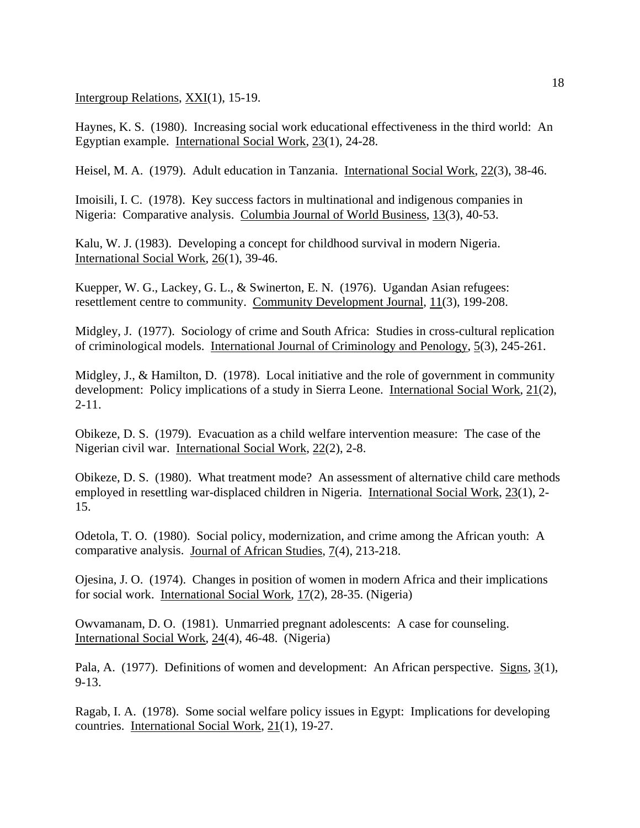Intergroup Relations, XXI(1), 15-19.

Haynes, K. S. (1980). Increasing social work educational effectiveness in the third world: An Egyptian example. International Social Work, 23(1), 24-28.

Heisel, M. A. (1979). Adult education in Tanzania. International Social Work, 22(3), 38-46.

Imoisili, I. C. (1978). Key success factors in multinational and indigenous companies in Nigeria: Comparative analysis. Columbia Journal of World Business, 13(3), 40-53.

Kalu, W. J. (1983). Developing a concept for childhood survival in modern Nigeria. International Social Work, 26(1), 39-46.

Kuepper, W. G., Lackey, G. L., & Swinerton, E. N. (1976). Ugandan Asian refugees: resettlement centre to community. Community Development Journal, 11(3), 199-208.

Midgley, J. (1977). Sociology of crime and South Africa: Studies in cross-cultural replication of criminological models. International Journal of Criminology and Penology, 5(3), 245-261.

Midgley, J., & Hamilton, D. (1978). Local initiative and the role of government in community development: Policy implications of a study in Sierra Leone. International Social Work, 21(2),  $2 - 11$ .

Obikeze, D. S. (1979). Evacuation as a child welfare intervention measure: The case of the Nigerian civil war. International Social Work, 22(2), 2-8.

Obikeze, D. S. (1980). What treatment mode? An assessment of alternative child care methods employed in resettling war-displaced children in Nigeria. International Social Work, 23(1), 2- 15.

Odetola, T. O. (1980). Social policy, modernization, and crime among the African youth: A comparative analysis. Journal of African Studies, 7(4), 213-218.

Ojesina, J. O. (1974). Changes in position of women in modern Africa and their implications for social work. International Social Work, 17(2), 28-35. (Nigeria)

Owvamanam, D. O. (1981). Unmarried pregnant adolescents: A case for counseling. International Social Work, 24(4), 46-48. (Nigeria)

Pala, A. (1977). Definitions of women and development: An African perspective. Signs, 3(1), 9-13.

Ragab, I. A. (1978). Some social welfare policy issues in Egypt: Implications for developing countries. International Social Work, 21(1), 19-27.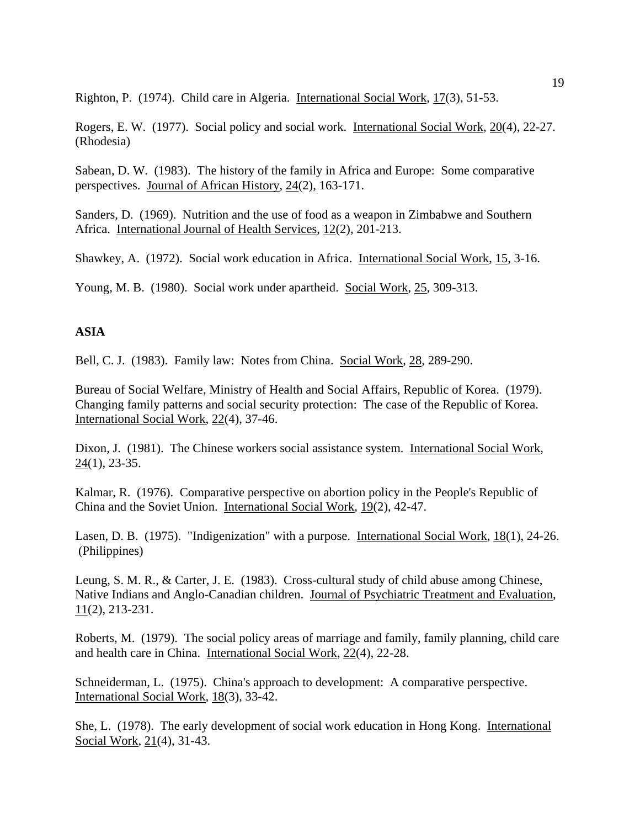Righton, P. (1974). Child care in Algeria. International Social Work, 17(3), 51-53.

Rogers, E. W. (1977). Social policy and social work. International Social Work, 20(4), 22-27. (Rhodesia)

Sabean, D. W. (1983). The history of the family in Africa and Europe: Some comparative perspectives. Journal of African History, 24(2), 163-171.

Sanders, D. (1969). Nutrition and the use of food as a weapon in Zimbabwe and Southern Africa. International Journal of Health Services, 12(2), 201-213.

Shawkey, A. (1972). Social work education in Africa. International Social Work, 15, 3-16.

Young, M. B. (1980). Social work under apartheid. Social Work, 25, 309-313.

## **ASIA**

Bell, C. J. (1983). Family law: Notes from China. Social Work, 28, 289-290.

Bureau of Social Welfare, Ministry of Health and Social Affairs, Republic of Korea. (1979). Changing family patterns and social security protection: The case of the Republic of Korea. International Social Work, 22(4), 37-46.

Dixon, J. (1981). The Chinese workers social assistance system. International Social Work,  $24(1)$ , 23-35.

Kalmar, R. (1976). Comparative perspective on abortion policy in the People's Republic of China and the Soviet Union. International Social Work, 19(2), 42-47.

Lasen, D. B. (1975). "Indigenization" with a purpose. International Social Work, 18(1), 24-26. (Philippines)

Leung, S. M. R., & Carter, J. E. (1983). Cross-cultural study of child abuse among Chinese, Native Indians and Anglo-Canadian children. Journal of Psychiatric Treatment and Evaluation, 11(2), 213-231.

Roberts, M. (1979). The social policy areas of marriage and family, family planning, child care and health care in China. International Social Work, 22(4), 22-28.

Schneiderman, L. (1975). China's approach to development: A comparative perspective. International Social Work, 18(3), 33-42.

She, L. (1978). The early development of social work education in Hong Kong. International Social Work, 21(4), 31-43.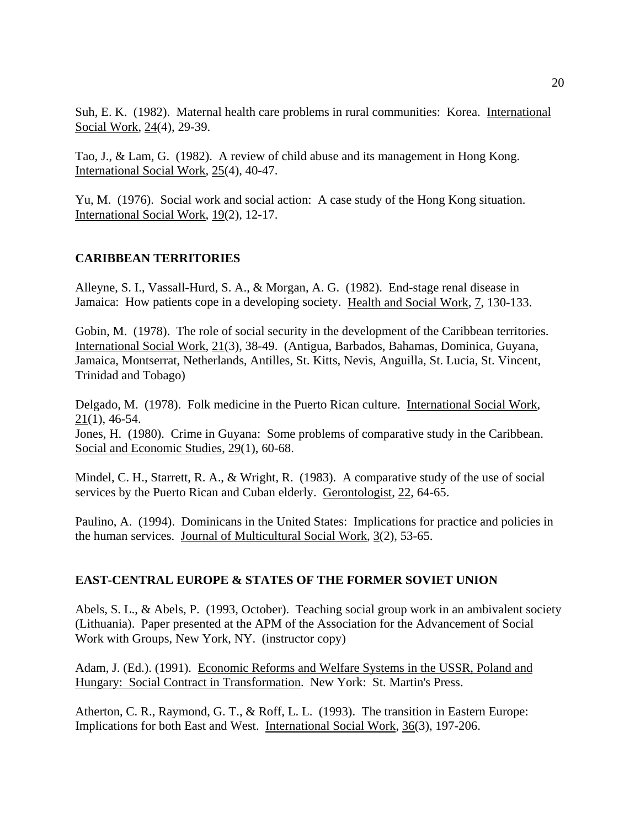Suh, E. K. (1982). Maternal health care problems in rural communities: Korea. International Social Work, 24(4), 29-39.

Tao, J., & Lam, G. (1982). A review of child abuse and its management in Hong Kong. International Social Work, 25(4), 40-47.

Yu, M. (1976). Social work and social action: A case study of the Hong Kong situation. International Social Work, 19(2), 12-17.

## **CARIBBEAN TERRITORIES**

Alleyne, S. I., Vassall-Hurd, S. A., & Morgan, A. G. (1982). End-stage renal disease in Jamaica: How patients cope in a developing society. Health and Social Work, 7, 130-133.

Gobin, M. (1978). The role of social security in the development of the Caribbean territories. International Social Work, 21(3), 38-49. (Antigua, Barbados, Bahamas, Dominica, Guyana, Jamaica, Montserrat, Netherlands, Antilles, St. Kitts, Nevis, Anguilla, St. Lucia, St. Vincent, Trinidad and Tobago)

Delgado, M. (1978). Folk medicine in the Puerto Rican culture. International Social Work, 21(1), 46-54.

Jones, H. (1980). Crime in Guyana: Some problems of comparative study in the Caribbean. Social and Economic Studies, 29(1), 60-68.

Mindel, C. H., Starrett, R. A., & Wright, R. (1983). A comparative study of the use of social services by the Puerto Rican and Cuban elderly. Gerontologist, 22, 64-65.

Paulino, A. (1994). Dominicans in the United States: Implications for practice and policies in the human services. Journal of Multicultural Social Work, 3(2), 53-65.

## **EAST-CENTRAL EUROPE & STATES OF THE FORMER SOVIET UNION**

Abels, S. L., & Abels, P. (1993, October). Teaching social group work in an ambivalent society (Lithuania). Paper presented at the APM of the Association for the Advancement of Social Work with Groups, New York, NY. (instructor copy)

Adam, J. (Ed.). (1991). Economic Reforms and Welfare Systems in the USSR, Poland and Hungary: Social Contract in Transformation. New York: St. Martin's Press.

Atherton, C. R., Raymond, G. T., & Roff, L. L. (1993). The transition in Eastern Europe: Implications for both East and West. International Social Work, 36(3), 197-206.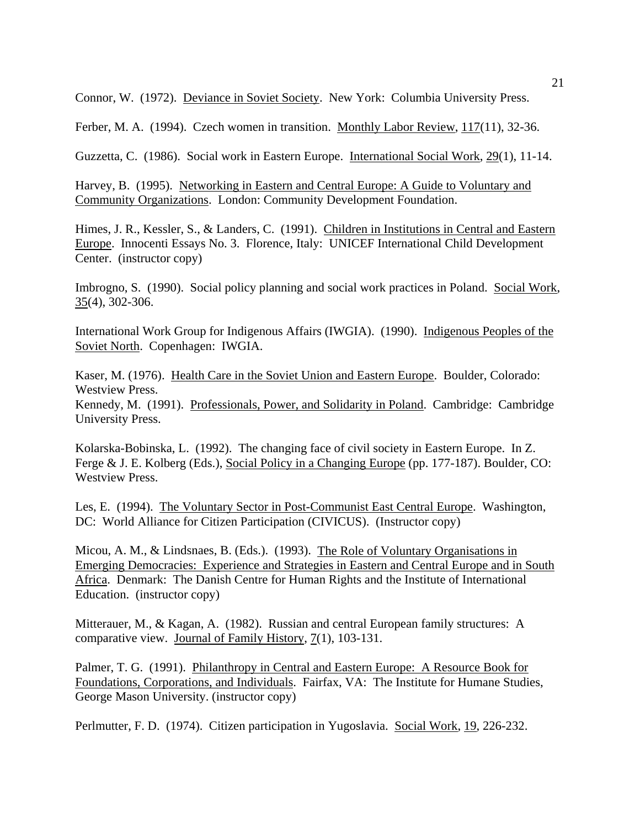Connor, W. (1972). Deviance in Soviet Society. New York: Columbia University Press.

Ferber, M. A. (1994). Czech women in transition. Monthly Labor Review, 117(11), 32-36.

Guzzetta, C. (1986). Social work in Eastern Europe. International Social Work, 29(1), 11-14.

Harvey, B. (1995). Networking in Eastern and Central Europe: A Guide to Voluntary and Community Organizations. London: Community Development Foundation.

Himes, J. R., Kessler, S., & Landers, C. (1991). Children in Institutions in Central and Eastern Europe. Innocenti Essays No. 3. Florence, Italy: UNICEF International Child Development Center. (instructor copy)

Imbrogno, S. (1990). Social policy planning and social work practices in Poland. Social Work, 35(4), 302-306.

International Work Group for Indigenous Affairs (IWGIA). (1990). Indigenous Peoples of the Soviet North. Copenhagen: IWGIA.

Kaser, M. (1976). Health Care in the Soviet Union and Eastern Europe. Boulder, Colorado: Westview Press.

Kennedy, M. (1991). Professionals, Power, and Solidarity in Poland. Cambridge: Cambridge University Press.

Kolarska-Bobinska, L. (1992). The changing face of civil society in Eastern Europe. In Z. Ferge & J. E. Kolberg (Eds.), Social Policy in a Changing Europe (pp. 177-187). Boulder, CO: Westview Press.

Les, E. (1994). The Voluntary Sector in Post-Communist East Central Europe. Washington, DC: World Alliance for Citizen Participation (CIVICUS). (Instructor copy)

Micou, A. M., & Lindsnaes, B. (Eds.). (1993). The Role of Voluntary Organisations in Emerging Democracies: Experience and Strategies in Eastern and Central Europe and in South Africa. Denmark: The Danish Centre for Human Rights and the Institute of International Education. (instructor copy)

Mitterauer, M., & Kagan, A. (1982). Russian and central European family structures: A comparative view. Journal of Family History, 7(1), 103-131.

Palmer, T. G. (1991). Philanthropy in Central and Eastern Europe: A Resource Book for Foundations, Corporations, and Individuals. Fairfax, VA: The Institute for Humane Studies, George Mason University. (instructor copy)

Perlmutter, F. D. (1974). Citizen participation in Yugoslavia. Social Work, 19, 226-232.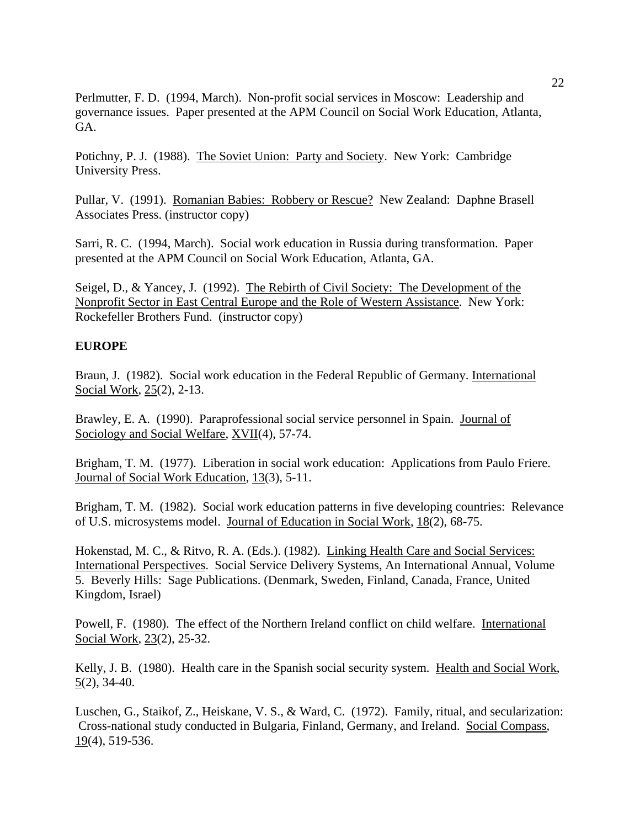Perlmutter, F. D. (1994, March). Non-profit social services in Moscow: Leadership and governance issues. Paper presented at the APM Council on Social Work Education, Atlanta, GA.

Potichny, P. J. (1988). The Soviet Union: Party and Society. New York: Cambridge University Press.

Pullar, V. (1991). Romanian Babies: Robbery or Rescue? New Zealand: Daphne Brasell Associates Press. (instructor copy)

Sarri, R. C. (1994, March). Social work education in Russia during transformation. Paper presented at the APM Council on Social Work Education, Atlanta, GA.

Seigel, D., & Yancey, J. (1992). The Rebirth of Civil Society: The Development of the Nonprofit Sector in East Central Europe and the Role of Western Assistance. New York: Rockefeller Brothers Fund. (instructor copy)

#### **EUROPE**

Braun, J. (1982). Social work education in the Federal Republic of Germany. International Social Work, 25(2), 2-13.

Brawley, E. A. (1990). Paraprofessional social service personnel in Spain. Journal of Sociology and Social Welfare, XVII(4), 57-74.

Brigham, T. M. (1977). Liberation in social work education: Applications from Paulo Friere. Journal of Social Work Education, 13(3), 5-11.

Brigham, T. M. (1982). Social work education patterns in five developing countries: Relevance of U.S. microsystems model. Journal of Education in Social Work, 18(2), 68-75.

Hokenstad, M. C., & Ritvo, R. A. (Eds.). (1982). Linking Health Care and Social Services: International Perspectives. Social Service Delivery Systems, An International Annual, Volume 5. Beverly Hills: Sage Publications. (Denmark, Sweden, Finland, Canada, France, United Kingdom, Israel)

Powell, F. (1980). The effect of the Northern Ireland conflict on child welfare. International Social Work, 23(2), 25-32.

Kelly, J. B. (1980). Health care in the Spanish social security system. Health and Social Work, 5(2), 34-40.

Luschen, G., Staikof, Z., Heiskane, V. S., & Ward, C. (1972). Family, ritual, and secularization: Cross-national study conducted in Bulgaria, Finland, Germany, and Ireland. Social Compass,  $19(4)$ , 519-536.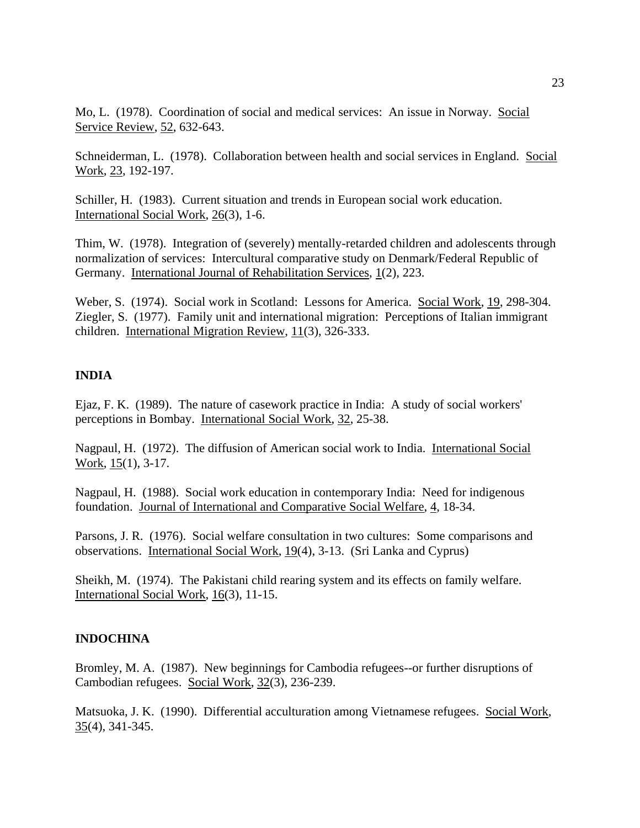Mo, L. (1978). Coordination of social and medical services: An issue in Norway. Social Service Review, 52, 632-643.

Schneiderman, L. (1978). Collaboration between health and social services in England. Social Work, 23, 192-197.

Schiller, H. (1983). Current situation and trends in European social work education. International Social Work, 26(3), 1-6.

Thim, W. (1978). Integration of (severely) mentally-retarded children and adolescents through normalization of services: Intercultural comparative study on Denmark/Federal Republic of Germany. International Journal of Rehabilitation Services, 1(2), 223.

Weber, S. (1974). Social work in Scotland: Lessons for America. Social Work, 19, 298-304. Ziegler, S. (1977). Family unit and international migration: Perceptions of Italian immigrant children. International Migration Review, 11(3), 326-333.

## **INDIA**

Ejaz, F. K. (1989). The nature of casework practice in India: A study of social workers' perceptions in Bombay. International Social Work, 32, 25-38.

Nagpaul, H. (1972). The diffusion of American social work to India. International Social Work, 15(1), 3-17.

Nagpaul, H. (1988). Social work education in contemporary India: Need for indigenous foundation. Journal of International and Comparative Social Welfare, 4, 18-34.

Parsons, J. R. (1976). Social welfare consultation in two cultures: Some comparisons and observations. International Social Work, 19(4), 3-13. (Sri Lanka and Cyprus)

Sheikh, M. (1974). The Pakistani child rearing system and its effects on family welfare. International Social Work, 16(3), 11-15.

## **INDOCHINA**

Bromley, M. A. (1987). New beginnings for Cambodia refugees--or further disruptions of Cambodian refugees. Social Work, 32(3), 236-239.

Matsuoka, J. K. (1990). Differential acculturation among Vietnamese refugees. Social Work, 35(4), 341-345.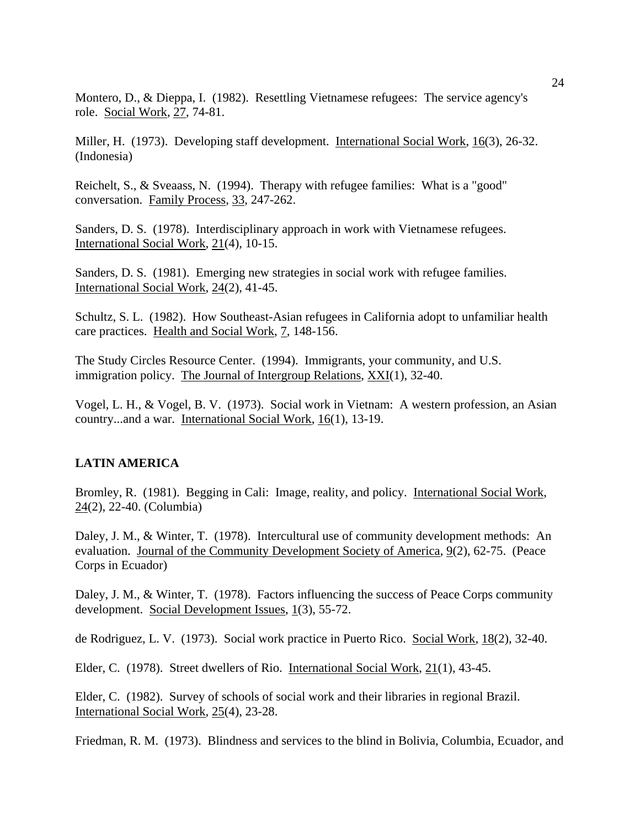Montero, D., & Dieppa, I. (1982). Resettling Vietnamese refugees: The service agency's role. Social Work, 27, 74-81.

Miller, H. (1973). Developing staff development. International Social Work, 16(3), 26-32. (Indonesia)

Reichelt, S., & Sveaass, N. (1994). Therapy with refugee families: What is a "good" conversation. Family Process, 33, 247-262.

Sanders, D. S. (1978). Interdisciplinary approach in work with Vietnamese refugees. International Social Work, 21(4), 10-15.

Sanders, D. S. (1981). Emerging new strategies in social work with refugee families. International Social Work, 24(2), 41-45.

Schultz, S. L. (1982). How Southeast-Asian refugees in California adopt to unfamiliar health care practices. Health and Social Work, 7, 148-156.

The Study Circles Resource Center. (1994). Immigrants, your community, and U.S. immigration policy. The Journal of Intergroup Relations, XXI(1), 32-40.

Vogel, L. H., & Vogel, B. V. (1973). Social work in Vietnam: A western profession, an Asian country...and a war. International Social Work, 16(1), 13-19.

## **LATIN AMERICA**

Bromley, R. (1981). Begging in Cali: Image, reality, and policy. International Social Work, 24(2), 22-40. (Columbia)

Daley, J. M., & Winter, T. (1978). Intercultural use of community development methods: An evaluation. Journal of the Community Development Society of America, 9(2), 62-75. (Peace Corps in Ecuador)

Daley, J. M., & Winter, T. (1978). Factors influencing the success of Peace Corps community development. Social Development Issues, 1(3), 55-72.

de Rodriguez, L. V. (1973). Social work practice in Puerto Rico. Social Work, 18(2), 32-40.

Elder, C. (1978). Street dwellers of Rio. International Social Work, 21(1), 43-45.

Elder, C. (1982). Survey of schools of social work and their libraries in regional Brazil. International Social Work, 25(4), 23-28.

Friedman, R. M. (1973). Blindness and services to the blind in Bolivia, Columbia, Ecuador, and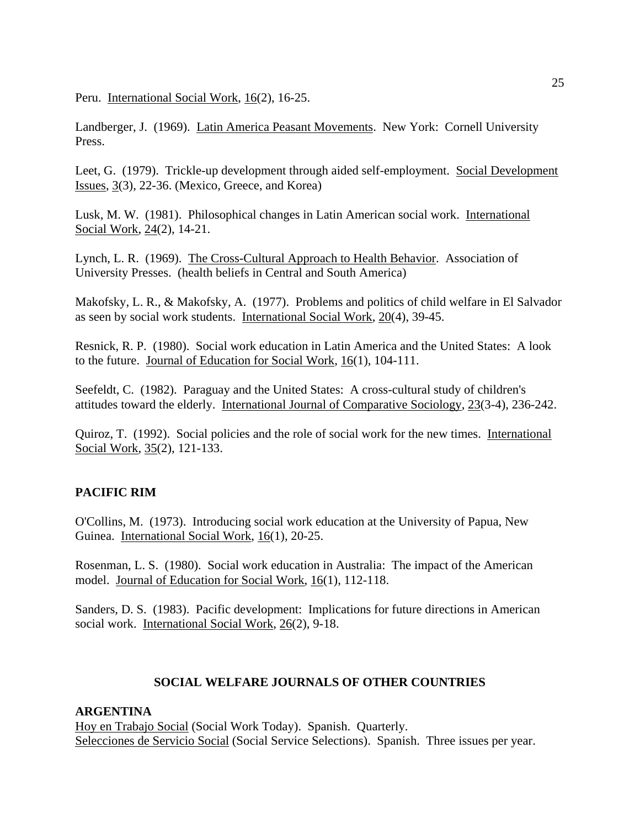Peru. International Social Work, 16(2), 16-25.

Landberger, J. (1969). Latin America Peasant Movements. New York: Cornell University Press.

Leet, G. (1979). Trickle-up development through aided self-employment. Social Development Issues, 3(3), 22-36. (Mexico, Greece, and Korea)

Lusk, M. W. (1981). Philosophical changes in Latin American social work. International Social Work, 24(2), 14-21.

Lynch, L. R. (1969). The Cross-Cultural Approach to Health Behavior. Association of University Presses. (health beliefs in Central and South America)

Makofsky, L. R., & Makofsky, A. (1977). Problems and politics of child welfare in El Salvador as seen by social work students. International Social Work, 20(4), 39-45.

Resnick, R. P. (1980). Social work education in Latin America and the United States: A look to the future. Journal of Education for Social Work, 16(1), 104-111.

Seefeldt, C. (1982). Paraguay and the United States: A cross-cultural study of children's attitudes toward the elderly. International Journal of Comparative Sociology, 23(3-4), 236-242.

Quiroz, T. (1992). Social policies and the role of social work for the new times. International Social Work, 35(2), 121-133.

## **PACIFIC RIM**

O'Collins, M. (1973). Introducing social work education at the University of Papua, New Guinea. International Social Work, 16(1), 20-25.

Rosenman, L. S. (1980). Social work education in Australia: The impact of the American model. Journal of Education for Social Work, 16(1), 112-118.

Sanders, D. S. (1983). Pacific development: Implications for future directions in American social work. International Social Work, 26(2), 9-18.

## **SOCIAL WELFARE JOURNALS OF OTHER COUNTRIES**

## **ARGENTINA**

Hoy en Trabajo Social (Social Work Today). Spanish. Quarterly. Selecciones de Servicio Social (Social Service Selections). Spanish. Three issues per year.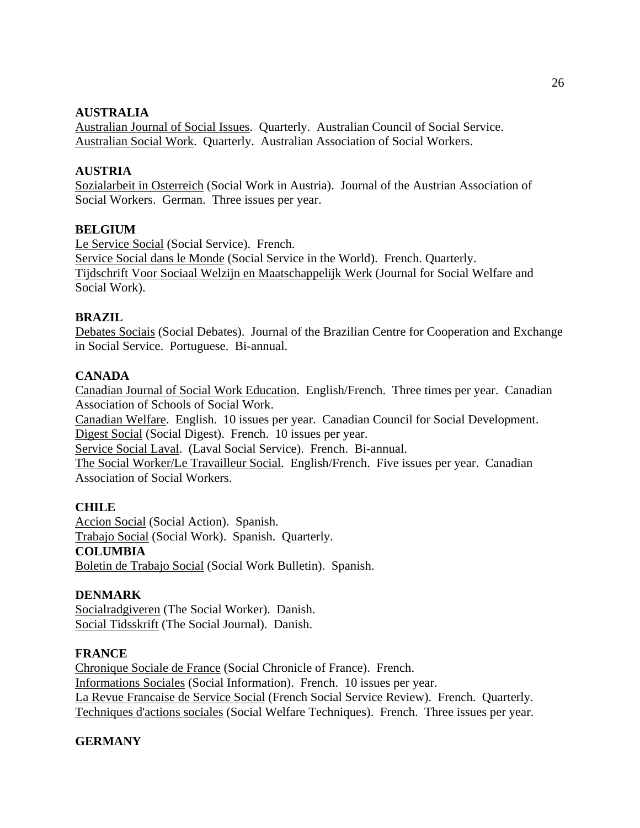## **AUSTRALIA**

Australian Journal of Social Issues. Quarterly. Australian Council of Social Service. Australian Social Work. Quarterly. Australian Association of Social Workers.

## **AUSTRIA**

Sozialarbeit in Osterreich (Social Work in Austria). Journal of the Austrian Association of Social Workers. German. Three issues per year.

## **BELGIUM**

Le Service Social (Social Service). French.

Service Social dans le Monde (Social Service in the World). French. Quarterly. Tijdschrift Voor Sociaal Welzijn en Maatschappelijk Werk (Journal for Social Welfare and Social Work).

## **BRAZIL**

Debates Sociais (Social Debates). Journal of the Brazilian Centre for Cooperation and Exchange in Social Service. Portuguese. Bi-annual.

## **CANADA**

Canadian Journal of Social Work Education. English/French. Three times per year. Canadian Association of Schools of Social Work.

Canadian Welfare. English. 10 issues per year. Canadian Council for Social Development. Digest Social (Social Digest). French. 10 issues per year.

Service Social Laval. (Laval Social Service). French. Bi-annual.

The Social Worker/Le Travailleur Social. English/French. Five issues per year. Canadian Association of Social Workers.

## **CHILE**

Accion Social (Social Action). Spanish. Trabajo Social (Social Work). Spanish. Quarterly. **COLUMBIA** Boletin de Trabajo Social (Social Work Bulletin). Spanish.

## **DENMARK**

Socialradgiveren (The Social Worker). Danish. Social Tidsskrift (The Social Journal). Danish.

## **FRANCE**

Chronique Sociale de France (Social Chronicle of France). French. Informations Sociales (Social Information). French. 10 issues per year. La Revue Francaise de Service Social (French Social Service Review). French. Quarterly. Techniques d'actions sociales (Social Welfare Techniques). French. Three issues per year.

## **GERMANY**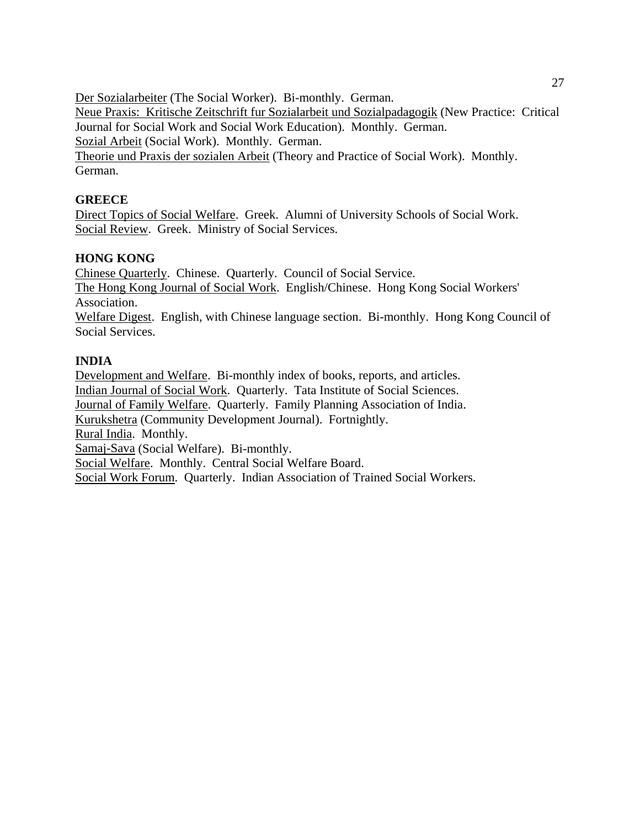Der Sozialarbeiter (The Social Worker). Bi-monthly. German. Neue Praxis: Kritische Zeitschrift fur Sozialarbeit und Sozialpadagogik (New Practice: Critical Journal for Social Work and Social Work Education). Monthly. German. Sozial Arbeit (Social Work). Monthly. German. Theorie und Praxis der sozialen Arbeit (Theory and Practice of Social Work). Monthly. German.

## **GREECE**

Direct Topics of Social Welfare. Greek. Alumni of University Schools of Social Work. Social Review. Greek. Ministry of Social Services.

## **HONG KONG**

Chinese Quarterly. Chinese. Quarterly. Council of Social Service. The Hong Kong Journal of Social Work. English/Chinese. Hong Kong Social Workers' Association. Welfare Digest. English, with Chinese language section. Bi-monthly. Hong Kong Council of Social Services.

## **INDIA**

Development and Welfare. Bi-monthly index of books, reports, and articles. Indian Journal of Social Work. Quarterly. Tata Institute of Social Sciences. Journal of Family Welfare. Quarterly. Family Planning Association of India. Kurukshetra (Community Development Journal). Fortnightly. Rural India. Monthly. Samaj-Sava (Social Welfare). Bi-monthly. Social Welfare. Monthly. Central Social Welfare Board. Social Work Forum. Quarterly. Indian Association of Trained Social Workers.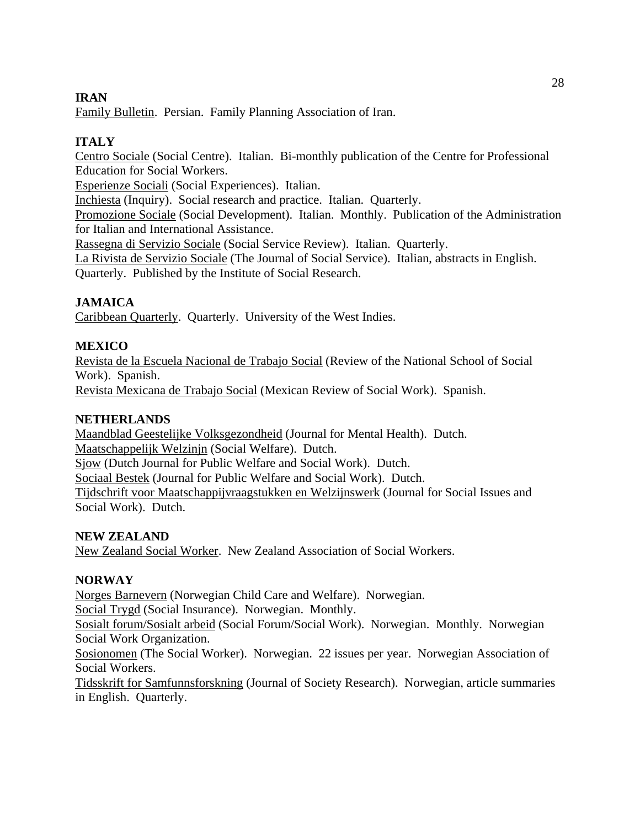## **IRAN**

Family Bulletin. Persian. Family Planning Association of Iran.

# **ITALY**

Centro Sociale (Social Centre). Italian. Bi-monthly publication of the Centre for Professional Education for Social Workers.

Esperienze Sociali (Social Experiences). Italian.

Inchiesta (Inquiry). Social research and practice. Italian. Quarterly.

Promozione Sociale (Social Development). Italian. Monthly. Publication of the Administration for Italian and International Assistance.

Rassegna di Servizio Sociale (Social Service Review). Italian. Quarterly.

La Rivista de Servizio Sociale (The Journal of Social Service). Italian, abstracts in English. Quarterly. Published by the Institute of Social Research.

# **JAMAICA**

Caribbean Quarterly. Quarterly. University of the West Indies.

# **MEXICO**

Revista de la Escuela Nacional de Trabajo Social (Review of the National School of Social Work). Spanish.

Revista Mexicana de Trabajo Social (Mexican Review of Social Work). Spanish.

## **NETHERLANDS**

Maandblad Geestelijke Volksgezondheid (Journal for Mental Health). Dutch. Maatschappelijk Welzinjn (Social Welfare). Dutch. Sjow (Dutch Journal for Public Welfare and Social Work). Dutch. Sociaal Bestek (Journal for Public Welfare and Social Work). Dutch. Tijdschrift voor Maatschappijvraagstukken en Welzijnswerk (Journal for Social Issues and Social Work). Dutch.

## **NEW ZEALAND**

New Zealand Social Worker. New Zealand Association of Social Workers.

# **NORWAY**

Norges Barnevern (Norwegian Child Care and Welfare). Norwegian.

Social Trygd (Social Insurance). Norwegian. Monthly.

Sosialt forum/Sosialt arbeid (Social Forum/Social Work). Norwegian. Monthly. Norwegian Social Work Organization.

Sosionomen (The Social Worker). Norwegian. 22 issues per year. Norwegian Association of Social Workers.

Tidsskrift for Samfunnsforskning (Journal of Society Research). Norwegian, article summaries in English. Quarterly.